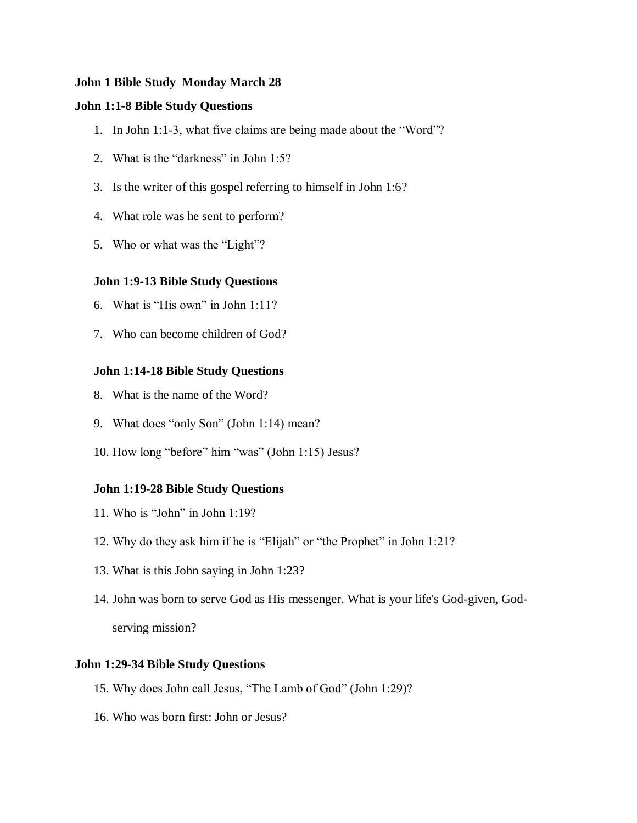# **John 1 Bible Study Monday March 28**

# **John 1:1-8 Bible Study Questions**

- 1. In John 1:1-3, what five claims are being made about the "Word"?
- 2. What is the "darkness" in John 1:5?
- 3. Is the writer of this gospel referring to himself in John 1:6?
- 4. What role was he sent to perform?
- 5. Who or what was the "Light"?

# **John 1:9-13 Bible Study Questions**

- 6. What is "His own" in John 1:11?
- 7. Who can become children of God?

### **John 1:14-18 Bible Study Questions**

- 8. What is the name of the Word?
- 9. What does "only Son" (John 1:14) mean?
- 10. How long "before" him "was" (John 1:15) Jesus?

### **John 1:19-28 Bible Study Questions**

- 11. Who is "John" in John 1:19?
- 12. Why do they ask him if he is "Elijah" or "the Prophet" in John 1:21?
- 13. What is this John saying in John 1:23?
- 14. John was born to serve God as His messenger. What is your life's God-given, Godserving mission?

## **John 1:29-34 Bible Study Questions**

- 15. Why does John call Jesus, "The Lamb of God" (John 1:29)?
- 16. Who was born first: John or Jesus?